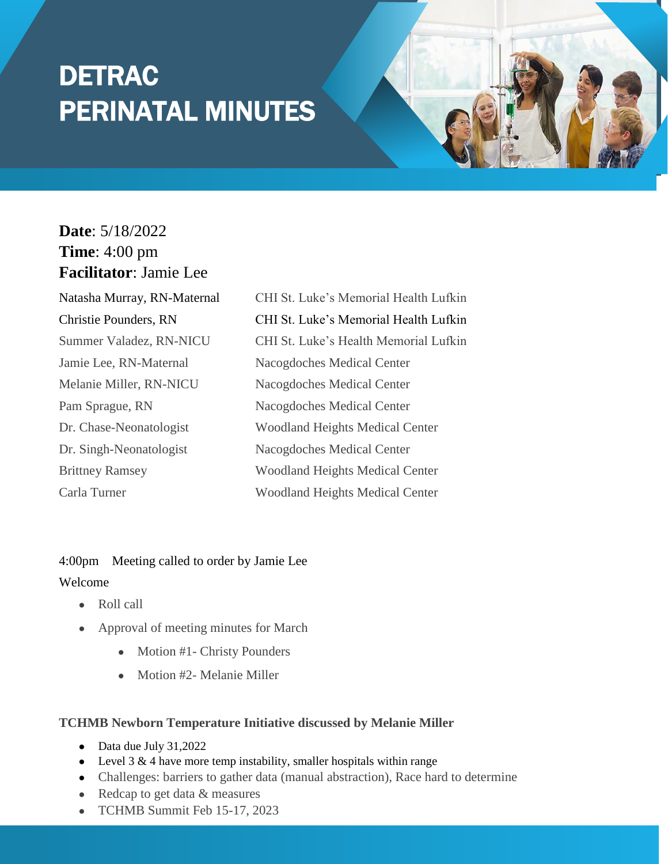# DETRAC PERINATAL MINUTES

## **Date**: 5/18/2022 **Time**: 4:00 pm **Facilitator**: Jamie Lee

Jamie Lee, RN-Maternal Nacogdoches Medical Center Melanie Miller, RN-NICU Nacogdoches Medical Center Pam Sprague, RN Nacogdoches Medical Center Dr. Singh-Neonatologist Nacogdoches Medical Center

Natasha Murray, RN-Maternal CHI St. Luke's Memorial Health Lufkin Christie Pounders, RN CHI St. Luke's Memorial Health Lufkin Summer Valadez, RN-NICU CHI St. Luke's Health Memorial Lufkin Dr. Chase-Neonatologist Woodland Heights Medical Center Brittney Ramsey Woodland Heights Medical Center Carla Turner Woodland Heights Medical Center

# 4:00pm Meeting called to order by Jamie Lee

### Welcome

- Roll call
- Approval of meeting minutes for March
	- Motion #1- Christy Pounders
	- Motion #2- Melanie Miller

#### **TCHMB Newborn Temperature Initiative discussed by Melanie Miller**

- Data due July 31,2022
- Level 3  $&$  4 have more temp instability, smaller hospitals within range
- Challenges: barriers to gather data (manual abstraction), Race hard to determine
- Redcap to get data & measures
- TCHMB Summit Feb 15-17, 2023